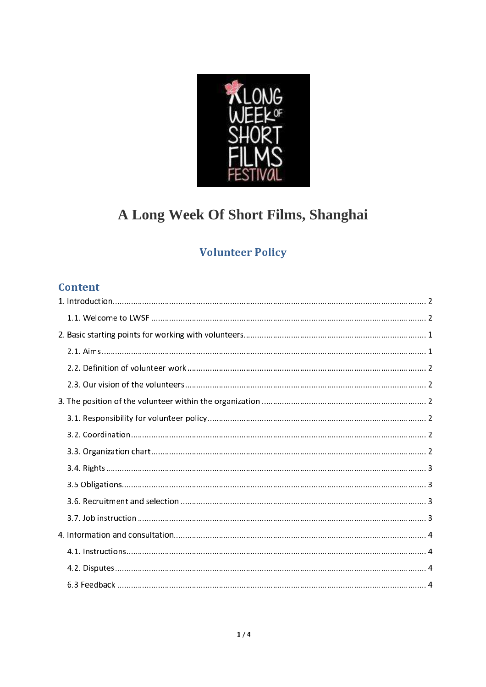

# A Long Week Of Short Films, Shanghai

## **Volunteer Policy**

## **Content**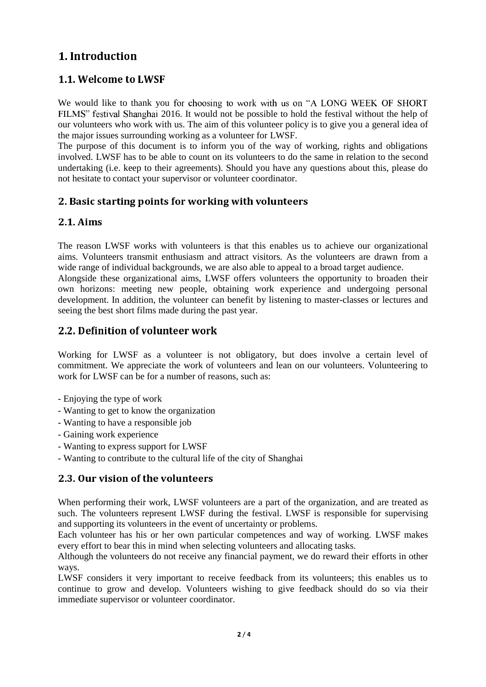#### <span id="page-1-0"></span><u>-----------------</u>

#### <span id="page-1-1"></span>1.1. Welcome to LWSF

We would like to thank you for choosing to work with us on "A LONG WEEK OF SHORT FILMS" festival Shanghai 2016. It would not be possible to hold the festival without the help of our volunteers who work with us. The aim of this volunteer policy is to give you a general idea of the major issues surrounding working as a volunteer for LWSF.

The purpose of this document is to inform you of the way of working, rights and obligations involved. LWSF has to be able to count on its volunteers to do the same in relation to the second undertaking (i.e. keep to their agreements). Should you have any questions about this, please do not hesitate to contact your supervisor or volunteer coordinator.

#### <span id="page-1-2"></span>2. Basic starting points for working with volunteers

#### <span id="page-1-3"></span>2.1 Aims

The reason LWSF works with volunteers is that this enables us to achieve our organizational aims. Volunteers transmit enthusiasm and attract visitors. As the volunteers are drawn from a wide range of individual backgrounds, we are also able to appeal to a broad target audience.

Alongside these organizational aims, LWSF offers volunteers the opportunity to broaden their own horizons: meeting new people, obtaining work experience and undergoing personal development. In addition, the volunteer can benefit by listening to master-classes or lectures and seeing the best short films made during the past year.

#### <span id="page-1-4"></span>2.2. Definition of volunteer work

Working for LWSF as a volunteer is not obligatory, but does involve a certain level of commitment. We appreciate the work of volunteers and lean on our volunteers. Volunteering to work for LWSF can be for a number of reasons, such as:

- Enjoying the type of work
- Wanting to get to know the organization
- Wanting to have a responsible job
- Gaining work experience
- Wanting to express support for LWSF
- Wanting to contribute to the cultural life of the city of Shanghai

#### <span id="page-1-5"></span>2.3 Our vision of the volunteers -= >:a 95356 8 he 9l:6 eea3

When performing their work, LWSF volunteers are a part of the organization, and are treated as such. The volunteers represent LWSF during the festival. LWSF is responsible for supervising and supporting its volunteers in the event of uncertainty or problems.

Each volunteer has his or her own particular competences and way of working. LWSF makes every effort to bear this in mind when selecting volunteers and allocating tasks.

Although the volunteers do not receive any financial payment, we do reward their efforts in other ways.

LWSF considers it very important to receive feedback from its volunteers; this enables us to continue to grow and develop. Volunteers wishing to give feedback should do so via their immediate supervisor or volunteer coordinator.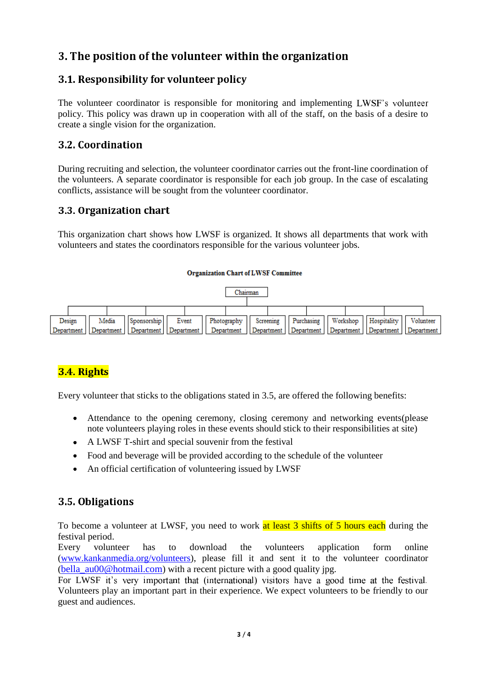### <span id="page-2-0"></span>h- psti f th- luit-- wthi th- raiati

#### <span id="page-2-1"></span>ensievel enterenty for control fence

The volunteer coordinator is responsible for monitoring and implementing LWSF's volunteer policy. This policy was drawn up in cooperation with all of the staff, on the basis of a desire to create a single vision for the organization.

#### <span id="page-2-2"></span>3.2. Coordination

During recruiting and selection, the volunteer coordinator carries out the front-line coordination of the volunteers. A separate coordinator is responsible for each job group. In the case of escalating conflicts, assistance will be sought from the volunteer coordinator.

#### <span id="page-2-3"></span>3.3 Organization chart

This organization chart shows how LWSF is organized. It shows all departments that work with volunteers and states the coordinators responsible for the various volunteer jobs.

#### **Organization Chart of LWSF Committee**

<span id="page-2-4"></span>

#### 3.4 Rights

Every volunteer that sticks to the obligations stated in 3.5, are offered the following benefits:

- <sup>+</sup> Attendance to the opening ceremony, closing ceremony and networking events(please note volunteers playing roles in these events should stick to their responsibilities at site)
- <sup>+</sup> A LWSF T-shirt and special souvenir from the festival
- Food and beverage will be provided according to the schedule of the volunteer
- An official certification of volunteering issued by LWSF

#### <span id="page-2-5"></span>3.5 Obligations

To become a volunteer at LWSF, you need to work at least 3 shifts of 5 hours each during the festival period.

Every volunteer has to download the volunteers application form online [\(www.kankanmedia.org/volunteers\)](http://www.kankanmedia.org/volunteers), please fill it and sent it to the volunteer coordinator (bella  $au00@hotmail.com$ ) with a recent picture with a good quality jpg.

For LWSF it's very important that (international) visitors have a good time at the festival. Volunteers play an important part in their experience. We expect volunteers to be friendly to our guest and audiences.